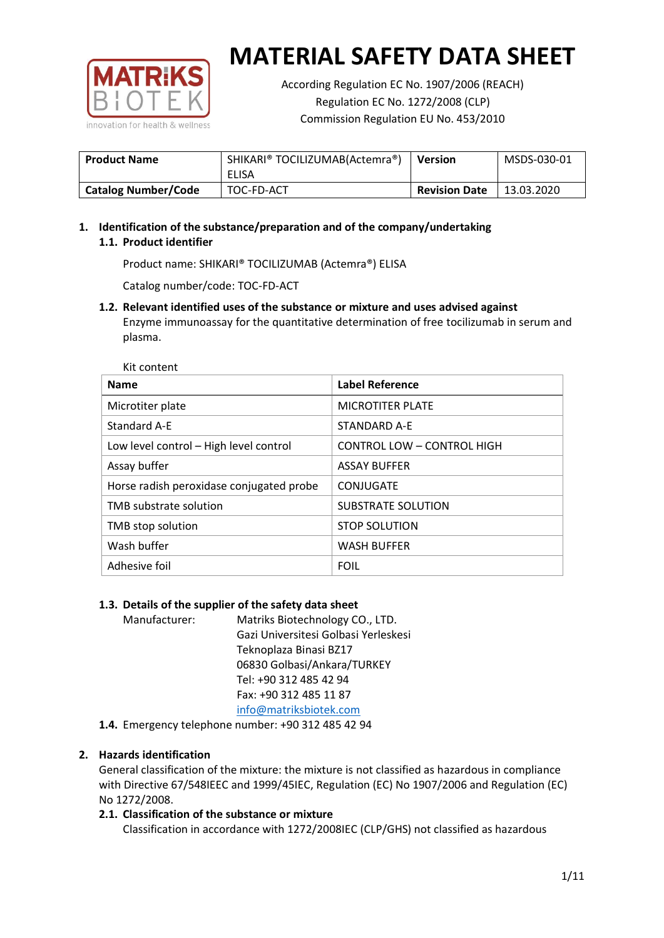

Kit content

# **MATERIAL SAFETY DATA SHEET**

According Regulation EC No. 1907/2006 (REACH) Regulation EC No. 1272/2008 (CLP) Commission Regulation EU No. 453/2010

| <b>Product Name</b>        | SHIKARI® TOCILIZUMAB(Actemra®) | <b>Version</b>       | MSDS-030-01 |
|----------------------------|--------------------------------|----------------------|-------------|
|                            | ELISA                          |                      |             |
| <b>Catalog Number/Code</b> | TOC-FD-ACT                     | <b>Revision Date</b> | 13.03.2020  |

# **1. Identification of the substance/preparation and of the company/undertaking 1.1. Product identifier**

Product name: SHIKARI® TOCILIZUMAB (Actemra®) ELISA

Catalog number/code: TOC-FD-ACT

## **1.2. Relevant identified uses of the substance or mixture and uses advised against**

Enzyme immunoassay for the quantitative determination of free tocilizumab in serum and plasma.

| <b>Name</b>                              | <b>Label Reference</b>            |
|------------------------------------------|-----------------------------------|
| Microtiter plate                         | <b>MICROTITER PLATE</b>           |
| Standard A-E                             | STANDARD A-E                      |
| Low level control - High level control   | <b>CONTROL LOW - CONTROL HIGH</b> |
| Assay buffer                             | <b>ASSAY BUFFER</b>               |
| Horse radish peroxidase conjugated probe | CONJUGATE                         |
| TMB substrate solution                   | SUBSTRATE SOLUTION                |
| TMB stop solution                        | <b>STOP SOLUTION</b>              |
| Wash buffer                              | <b>WASH BUFFER</b>                |
| Adhesive foil                            | <b>FOIL</b>                       |

# **1.3. Details of the supplier of the safety data sheet**

Manufacturer: Matriks Biotechnology CO., LTD. Gazi Universitesi Golbasi Yerleskesi Teknoplaza Binasi BZ17 06830 Golbasi/Ankara/TURKEY Tel: +90 312 485 42 94 Fax: +90 312 485 11 87 [info@matriksbiotek.com](mailto:info@matriksbiotek.com)

**1.4.** Emergency telephone number: +90 312 485 42 94

# **2. Hazards identification**

General classification of the mixture: the mixture is not classified as hazardous in compliance with Directive 67/548IEEC and 1999/45IEC, Regulation (EC) No 1907/2006 and Regulation (EC) No 1272/2008.

# **2.1. Classification of the substance or mixture**

Classification in accordance with 1272/2008IEC (CLP/GHS) not classified as hazardous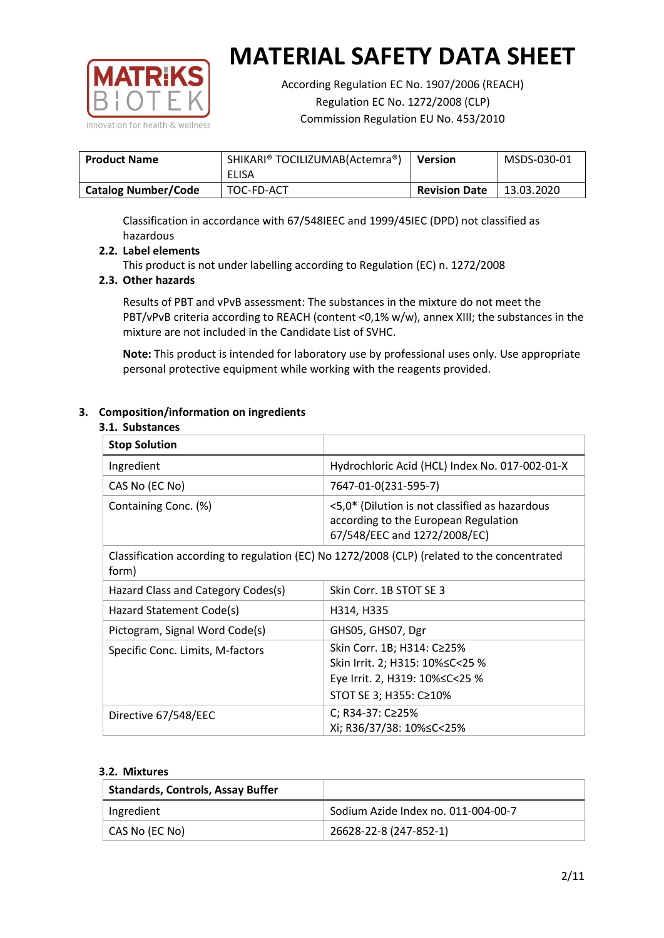

According Regulation EC No. 1907/2006 (REACH) Regulation EC No. 1272/2008 (CLP) Commission Regulation EU No. 453/2010

| <b>Product Name</b>        | SHIKARI® TOCILIZUMAB(Actemra®)<br>ELISA | <b>Version</b>       | MSDS-030-01 |
|----------------------------|-----------------------------------------|----------------------|-------------|
| <b>Catalog Number/Code</b> | TOC-FD-ACT                              | <b>Revision Date</b> | 13.03.2020  |

Classification in accordance with 67/548IEEC and 1999/45IEC (DPD) not classified as hazardous

## **2.2. Label elements**

This product is not under labelling according to Regulation (EC) n. 1272/2008

## **2.3. Other hazards**

Results of PBT and vPvB assessment: The substances in the mixture do not meet the PBT/vPvB criteria according to REACH (content <0,1% w/w), annex XIII; the substances in the mixture are not included in the Candidate List of SVHC.

**Note:** This product is intended for laboratory use by professional uses only. Use appropriate personal protective equipment while working with the reagents provided.

## **3. Composition/information on ingredients**

#### **3.1. Substances**

| <b>Stop Solution</b>               |                                                                                                                           |
|------------------------------------|---------------------------------------------------------------------------------------------------------------------------|
| Ingredient                         | Hydrochloric Acid (HCL) Index No. 017-002-01-X                                                                            |
| CAS No (EC No)                     | 7647-01-0(231-595-7)                                                                                                      |
| Containing Conc. (%)               | <5,0* (Dilution is not classified as hazardous<br>according to the European Regulation<br>67/548/EEC and 1272/2008/EC)    |
| form)                              | Classification according to regulation (EC) No 1272/2008 (CLP) (related to the concentrated                               |
| Hazard Class and Category Codes(s) | Skin Corr. 1B STOT SE 3                                                                                                   |
| Hazard Statement Code(s)           | H314, H335                                                                                                                |
| Pictogram, Signal Word Code(s)     | GHS05, GHS07, Dgr                                                                                                         |
| Specific Conc. Limits, M-factors   | Skin Corr. 1B; H314: C≥25%<br>Skin Irrit. 2; H315: 10%≤C<25 %<br>Eye Irrit. 2, H319: 10%≤C<25 %<br>STOT SE 3; H355: C≥10% |
| Directive 67/548/EEC               | C; R34-37: C≥25%<br>Xi; R36/37/38: 10%≤C<25%                                                                              |

#### **3.2. Mixtures**

| <b>Standards, Controls, Assay Buffer</b> |                                     |
|------------------------------------------|-------------------------------------|
| Ingredient                               | Sodium Azide Index no. 011-004-00-7 |
| CAS No (EC No)                           | 26628-22-8 (247-852-1)              |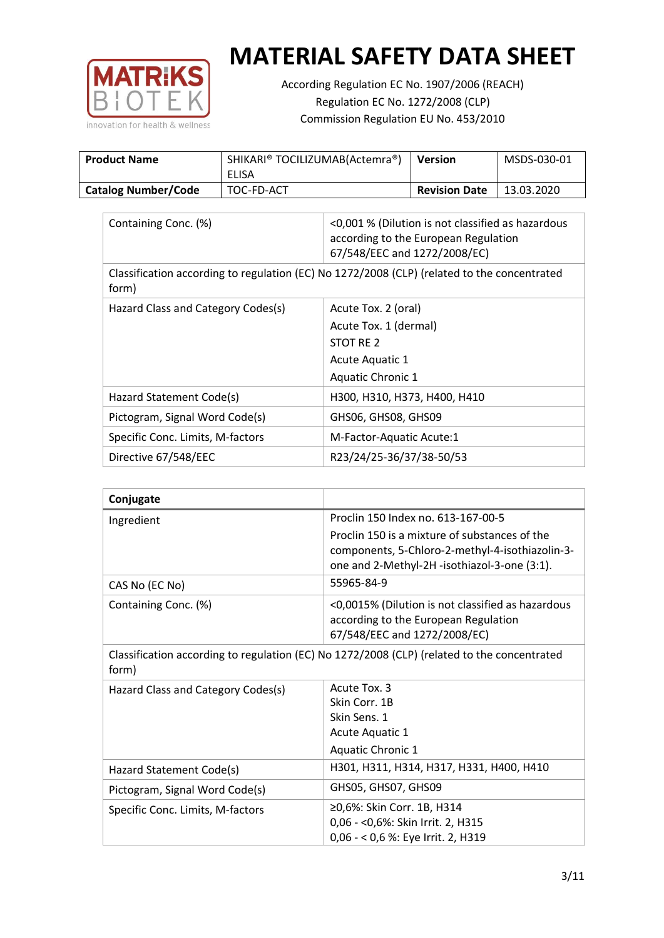

According Regulation EC No. 1907/2006 (REACH) Regulation EC No. 1272/2008 (CLP) Commission Regulation EU No. 453/2010

| <b>Product Name</b>        | SHIKARI® TOCILIZUMAB(Actemra®)<br>ELISA | <b>Version</b>       | MSDS-030-01 |
|----------------------------|-----------------------------------------|----------------------|-------------|
| <b>Catalog Number/Code</b> | TOC-FD-ACT                              | <b>Revision Date</b> | 13.03.2020  |

| Containing Conc. (%)                                                                                 | <0,001 % (Dilution is not classified as hazardous<br>according to the European Regulation<br>67/548/EEC and 1272/2008/EC) |  |
|------------------------------------------------------------------------------------------------------|---------------------------------------------------------------------------------------------------------------------------|--|
| Classification according to regulation (EC) No 1272/2008 (CLP) (related to the concentrated<br>form) |                                                                                                                           |  |
| Hazard Class and Category Codes(s)                                                                   | Acute Tox. 2 (oral)                                                                                                       |  |
|                                                                                                      | Acute Tox. 1 (dermal)                                                                                                     |  |
|                                                                                                      | STOT RE 2                                                                                                                 |  |
|                                                                                                      | Acute Aquatic 1                                                                                                           |  |
|                                                                                                      | Aquatic Chronic 1                                                                                                         |  |
| Hazard Statement Code(s)                                                                             | H300, H310, H373, H400, H410                                                                                              |  |
| Pictogram, Signal Word Code(s)                                                                       | GHS06, GHS08, GHS09                                                                                                       |  |
| Specific Conc. Limits, M-factors                                                                     | M-Factor-Aquatic Acute:1                                                                                                  |  |
| Directive 67/548/EEC                                                                                 | R23/24/25-36/37/38-50/53                                                                                                  |  |

| Conjugate                          |                                                                                                                                                  |
|------------------------------------|--------------------------------------------------------------------------------------------------------------------------------------------------|
| Ingredient                         | Proclin 150 Index no. 613-167-00-5                                                                                                               |
|                                    | Proclin 150 is a mixture of substances of the<br>components, 5-Chloro-2-methyl-4-isothiazolin-3-<br>one and 2-Methyl-2H -isothiazol-3-one (3:1). |
| CAS No (EC No)                     | 55965-84-9                                                                                                                                       |
| Containing Conc. (%)               | <0,0015% (Dilution is not classified as hazardous<br>according to the European Regulation<br>67/548/EEC and 1272/2008/EC)                        |
| form)                              | Classification according to regulation (EC) No 1272/2008 (CLP) (related to the concentrated                                                      |
| Hazard Class and Category Codes(s) | Acute Tox, 3<br>Skin Corr. 1B<br>Skin Sens. 1<br>Acute Aquatic 1<br><b>Aquatic Chronic 1</b>                                                     |
| Hazard Statement Code(s)           | H301, H311, H314, H317, H331, H400, H410                                                                                                         |
| Pictogram, Signal Word Code(s)     | GHS05, GHS07, GHS09                                                                                                                              |
| Specific Conc. Limits, M-factors   | ≥0,6%: Skin Corr. 1B, H314<br>0,06 - < 0,6%: Skin Irrit. 2, H315<br>0,06 - < 0,6 %: Eye Irrit. 2, H319                                           |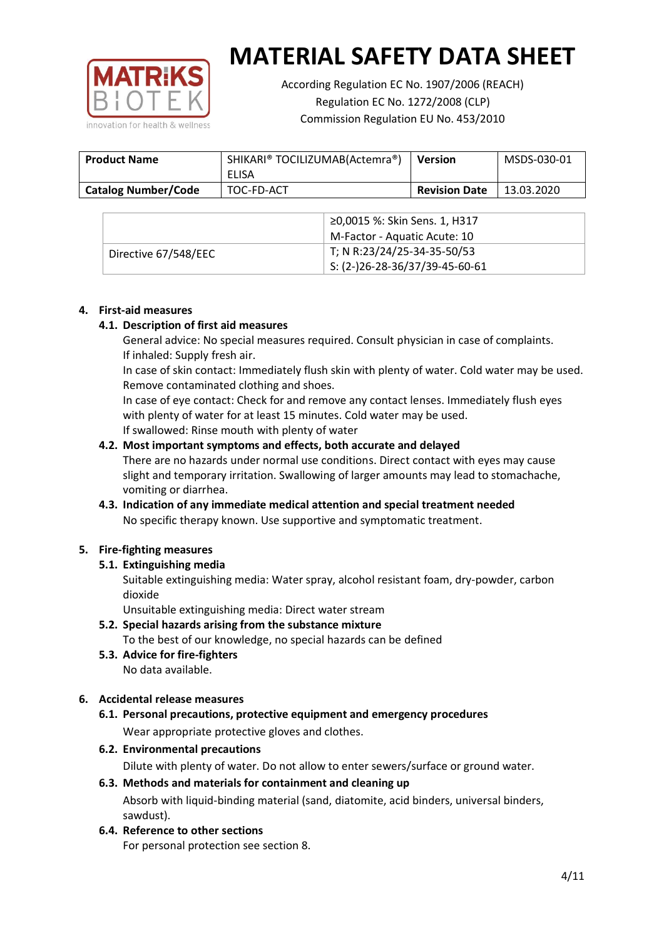

According Regulation EC No. 1907/2006 (REACH) Regulation EC No. 1272/2008 (CLP) Commission Regulation EU No. 453/2010

| <b>Product Name</b>        | SHIKARI® TOCILIZUMAB(Actemra®)<br>ELISA | <b>Version</b>       | MSDS-030-01 |
|----------------------------|-----------------------------------------|----------------------|-------------|
| <b>Catalog Number/Code</b> | TOC-FD-ACT                              | <b>Revision Date</b> | 13.03.2020  |

|                      | ≥0,0015 %: Skin Sens. 1, H317                |
|----------------------|----------------------------------------------|
|                      | M-Factor - Aquatic Acute: 10                 |
| Directive 67/548/EEC | T; N R:23/24/25-34-35-50/53                  |
|                      | $\frac{1}{2}$ S: (2-)26-28-36/37/39-45-60-61 |

## **4. First-aid measures**

## **4.1. Description of first aid measures**

General advice: No special measures required. Consult physician in case of complaints. If inhaled: Supply fresh air.

In case of skin contact: Immediately flush skin with plenty of water. Cold water may be used. Remove contaminated clothing and shoes.

In case of eye contact: Check for and remove any contact lenses. Immediately flush eyes with plenty of water for at least 15 minutes. Cold water may be used. If swallowed: Rinse mouth with plenty of water

## **4.2. Most important symptoms and effects, both accurate and delayed**

There are no hazards under normal use conditions. Direct contact with eyes may cause slight and temporary irritation. Swallowing of larger amounts may lead to stomachache, vomiting or diarrhea.

# **4.3. Indication of any immediate medical attention and special treatment needed** No specific therapy known. Use supportive and symptomatic treatment.

# **5. Fire-fighting measures**

# **5.1. Extinguishing media**

Suitable extinguishing media: Water spray, alcohol resistant foam, dry-powder, carbon dioxide

Unsuitable extinguishing media: Direct water stream

- **5.2. Special hazards arising from the substance mixture** To the best of our knowledge, no special hazards can be defined
- **5.3. Advice for fire-fighters** No data available.

# **6. Accidental release measures**

- **6.1. Personal precautions, protective equipment and emergency procedures** Wear appropriate protective gloves and clothes.
- **6.2. Environmental precautions**

Dilute with plenty of water. Do not allow to enter sewers/surface or ground water.

## **6.3. Methods and materials for containment and cleaning up** Absorb with liquid-binding material (sand, diatomite, acid binders, universal binders, sawdust).

**6.4. Reference to other sections**

For personal protection see section 8.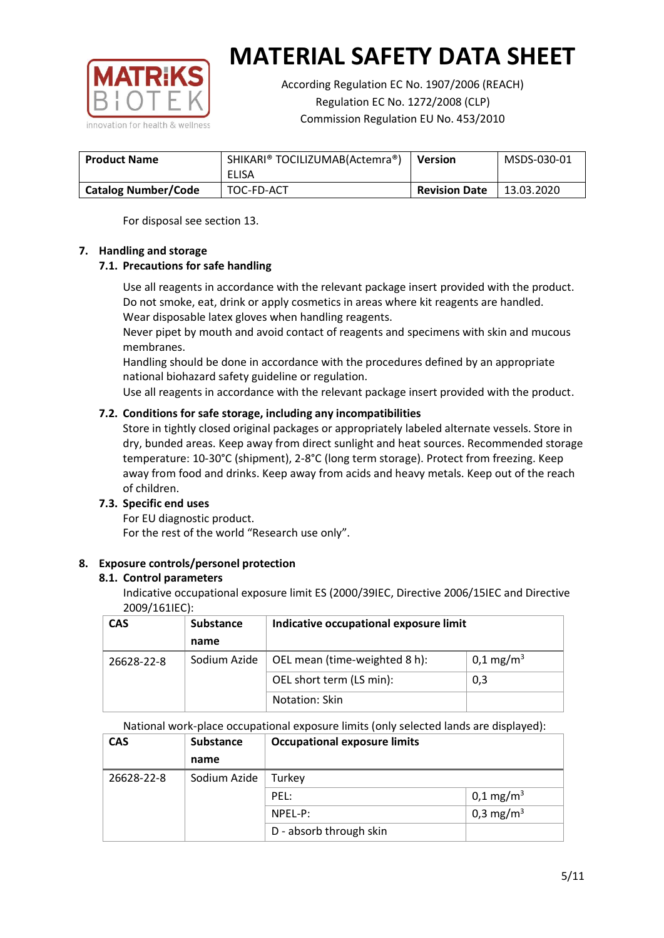

According Regulation EC No. 1907/2006 (REACH) Regulation EC No. 1272/2008 (CLP) Commission Regulation EU No. 453/2010

| SHIKARI® TOCILIZUMAB(Actemra®)<br><b>Product Name</b> |            | <b>Version</b>       | MSDS-030-01 |
|-------------------------------------------------------|------------|----------------------|-------------|
|                                                       | ELISA      |                      |             |
| <b>Catalog Number/Code</b>                            | TOC-FD-ACT | <b>Revision Date</b> | 13.03.2020  |

For disposal see section 13.

# **7. Handling and storage**

# **7.1. Precautions for safe handling**

Use all reagents in accordance with the relevant package insert provided with the product. Do not smoke, eat, drink or apply cosmetics in areas where kit reagents are handled. Wear disposable latex gloves when handling reagents.

Never pipet by mouth and avoid contact of reagents and specimens with skin and mucous membranes.

Handling should be done in accordance with the procedures defined by an appropriate national biohazard safety guideline or regulation.

Use all reagents in accordance with the relevant package insert provided with the product.

# **7.2. Conditions for safe storage, including any incompatibilities**

Store in tightly closed original packages or appropriately labeled alternate vessels. Store in dry, bunded areas. Keep away from direct sunlight and heat sources. Recommended storage temperature: 10-30°C (shipment), 2-8°C (long term storage). Protect from freezing. Keep away from food and drinks. Keep away from acids and heavy metals. Keep out of the reach of children.

#### **7.3. Specific end uses**

For EU diagnostic product. For the rest of the world "Research use only".

# **8. Exposure controls/personel protection**

#### **8.1. Control parameters**

Indicative occupational exposure limit ES (2000/39IEC, Directive 2006/15IEC and Directive 2009/161IEC):

| <b>CAS</b> | <b>Substance</b> | Indicative occupational exposure limit |                       |
|------------|------------------|----------------------------------------|-----------------------|
|            | name             |                                        |                       |
| 26628-22-8 | Sodium Azide     | OEL mean (time-weighted 8 h):          | 0,1 mg/m <sup>3</sup> |
|            |                  | OEL short term (LS min):               | 0,3                   |
|            |                  | Notation: Skin                         |                       |

National work-place occupational exposure limits (only selected lands are displayed):

| <b>CAS</b> | <b>Substance</b> | <b>Occupational exposure limits</b> |                         |  |
|------------|------------------|-------------------------------------|-------------------------|--|
|            | name             |                                     |                         |  |
| 26628-22-8 | Sodium Azide     | Turkey                              |                         |  |
|            |                  | PEL:                                | $0,1 \,\mathrm{mg/m^3}$ |  |
|            |                  | NPEL-P:                             | 0,3 mg/m <sup>3</sup>   |  |
|            |                  | D - absorb through skin             |                         |  |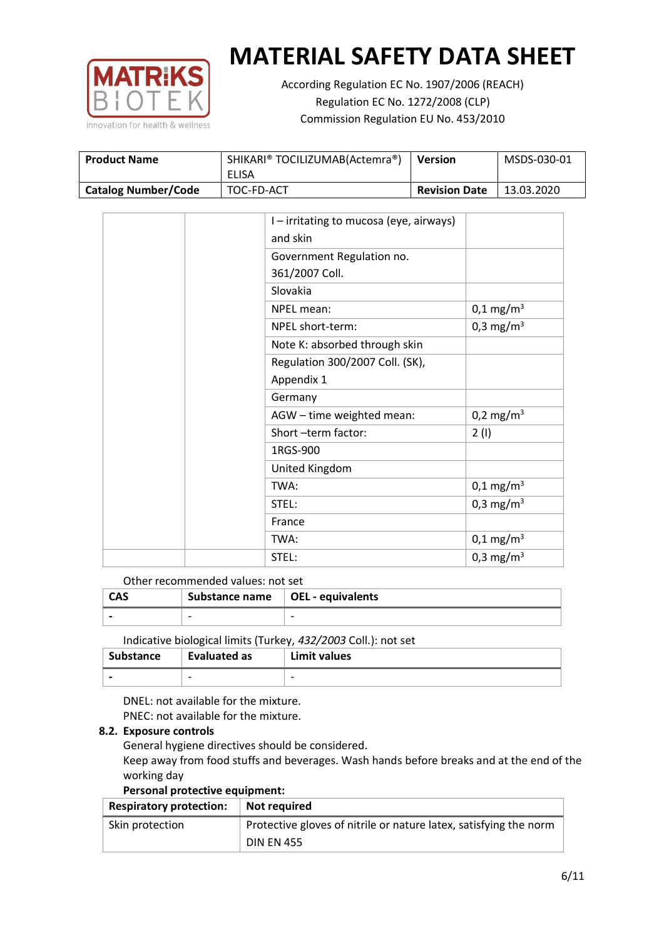

According Regulation EC No. 1907/2006 (REACH) Regulation EC No. 1272/2008 (CLP) Commission Regulation EU No. 453/2010

| <b>Product Name</b>        | SHIKARI® TOCILIZUMAB(Actemra®)<br>ELISA | <b>Version</b>       | MSDS-030-01 |
|----------------------------|-----------------------------------------|----------------------|-------------|
| <b>Catalog Number/Code</b> | TOC-FD-ACT                              | <b>Revision Date</b> | 13.03.2020  |

|  | I - irritating to mucosa (eye, airways) |                         |
|--|-----------------------------------------|-------------------------|
|  | and skin                                |                         |
|  | Government Regulation no.               |                         |
|  | 361/2007 Coll.                          |                         |
|  | Slovakia                                |                         |
|  | NPEL mean:                              | $0,1 \,\mathrm{mg/m^3}$ |
|  | NPEL short-term:                        | 0,3 mg/m <sup>3</sup>   |
|  | Note K: absorbed through skin           |                         |
|  | Regulation 300/2007 Coll. (SK),         |                         |
|  | Appendix 1                              |                         |
|  | Germany                                 |                         |
|  | AGW - time weighted mean:               | 0,2 mg/m <sup>3</sup>   |
|  | Short-term factor:                      | 2(1)                    |
|  | 1RGS-900                                |                         |
|  | United Kingdom                          |                         |
|  | TWA:                                    | $0,1 \text{ mg/m}^3$    |
|  | STEL:                                   | 0,3 mg/m <sup>3</sup>   |
|  | France                                  |                         |
|  | TWA:                                    | $0,1 \text{ mg/m}^3$    |
|  | STEL:                                   | 0,3 mg/m <sup>3</sup>   |

#### Other recommended values: not set

| CAS | Substance name $\vert$ OEL - equivalents |   |
|-----|------------------------------------------|---|
|     | $\overline{\phantom{0}}$                 | - |
|     |                                          |   |

Indicative biological limits (Turkey, *432/2003* Coll.): not set

| Substance                | <b>Evaluated as</b>      | Limit values             |
|--------------------------|--------------------------|--------------------------|
| $\overline{\phantom{0}}$ | $\overline{\phantom{0}}$ | $\overline{\phantom{0}}$ |

DNEL: not available for the mixture. PNEC: not available for the mixture.

# **8.2. Exposure controls**

General hygiene directives should be considered.

Keep away from food stuffs and beverages. Wash hands before breaks and at the end of the working day

#### **Personal protective equipment:**

| <b>Respiratory protection:</b> | Not required                                                      |
|--------------------------------|-------------------------------------------------------------------|
| Skin protection                | Protective gloves of nitrile or nature latex, satisfying the norm |
|                                | <b>DIN EN 455</b>                                                 |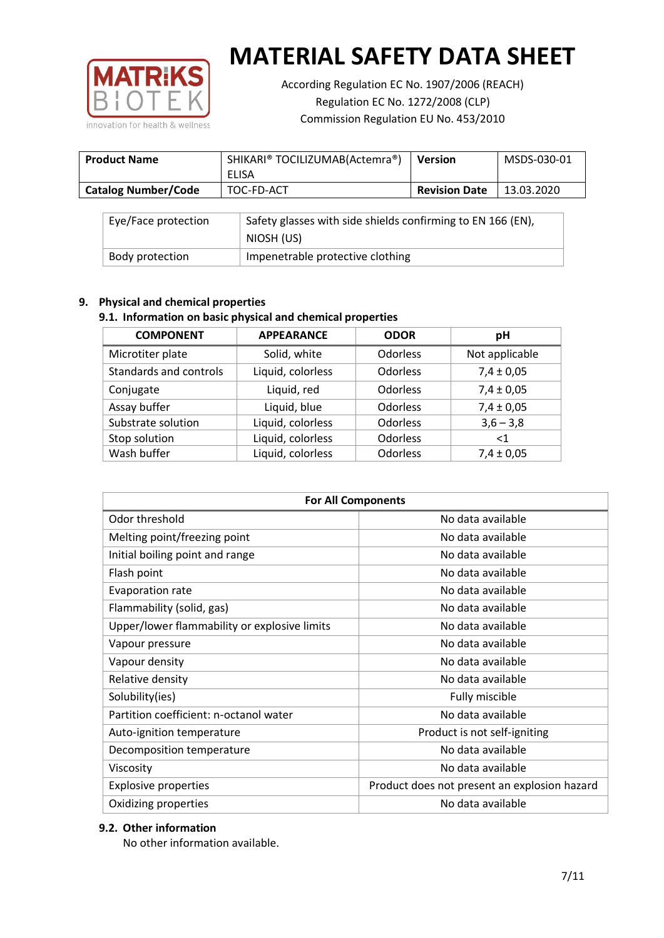

According Regulation EC No. 1907/2006 (REACH) Regulation EC No. 1272/2008 (CLP) Commission Regulation EU No. 453/2010

| <b>Product Name</b>        | SHIKARI® TOCILIZUMAB(Actemra®)<br>ELISA | <b>Version</b>       | MSDS-030-01 |
|----------------------------|-----------------------------------------|----------------------|-------------|
| <b>Catalog Number/Code</b> | TOC-FD-ACT                              | <b>Revision Date</b> | 13.03.2020  |

| Eye/Face protection | Safety glasses with side shields confirming to EN 166 (EN),<br>NIOSH (US) |
|---------------------|---------------------------------------------------------------------------|
| Body protection     | Impenetrable protective clothing                                          |

# **9. Physical and chemical properties**

# **9.1. Information on basic physical and chemical properties**

| <b>COMPONENT</b>       | <b>APPEARANCE</b> | <b>ODOR</b>     | рH             |
|------------------------|-------------------|-----------------|----------------|
| Microtiter plate       | Solid, white      | <b>Odorless</b> | Not applicable |
| Standards and controls | Liquid, colorless | <b>Odorless</b> | $7,4 \pm 0,05$ |
| Conjugate              | Liquid, red       | <b>Odorless</b> | $7,4 \pm 0,05$ |
| Assay buffer           | Liquid, blue      | <b>Odorless</b> | $7,4 \pm 0,05$ |
| Substrate solution     | Liquid, colorless | Odorless        | $3,6 - 3,8$    |
| Stop solution          | Liquid, colorless | Odorless        | $\leq 1$       |
| Wash buffer            | Liquid, colorless | Odorless        | $7,4 \pm 0,05$ |

| <b>For All Components</b>                    |                                              |  |  |
|----------------------------------------------|----------------------------------------------|--|--|
| Odor threshold                               | No data available                            |  |  |
| Melting point/freezing point                 | No data available                            |  |  |
| Initial boiling point and range              | No data available                            |  |  |
| Flash point                                  | No data available                            |  |  |
| Evaporation rate                             | No data available                            |  |  |
| Flammability (solid, gas)                    | No data available                            |  |  |
| Upper/lower flammability or explosive limits | No data available                            |  |  |
| Vapour pressure                              | No data available                            |  |  |
| Vapour density                               | No data available                            |  |  |
| Relative density                             | No data available                            |  |  |
| Solubility(ies)                              | Fully miscible                               |  |  |
| Partition coefficient: n-octanol water       | No data available                            |  |  |
| Auto-ignition temperature                    | Product is not self-igniting                 |  |  |
| Decomposition temperature                    | No data available                            |  |  |
| Viscosity                                    | No data available                            |  |  |
| <b>Explosive properties</b>                  | Product does not present an explosion hazard |  |  |
| Oxidizing properties                         | No data available                            |  |  |

# **9.2. Other information**

No other information available.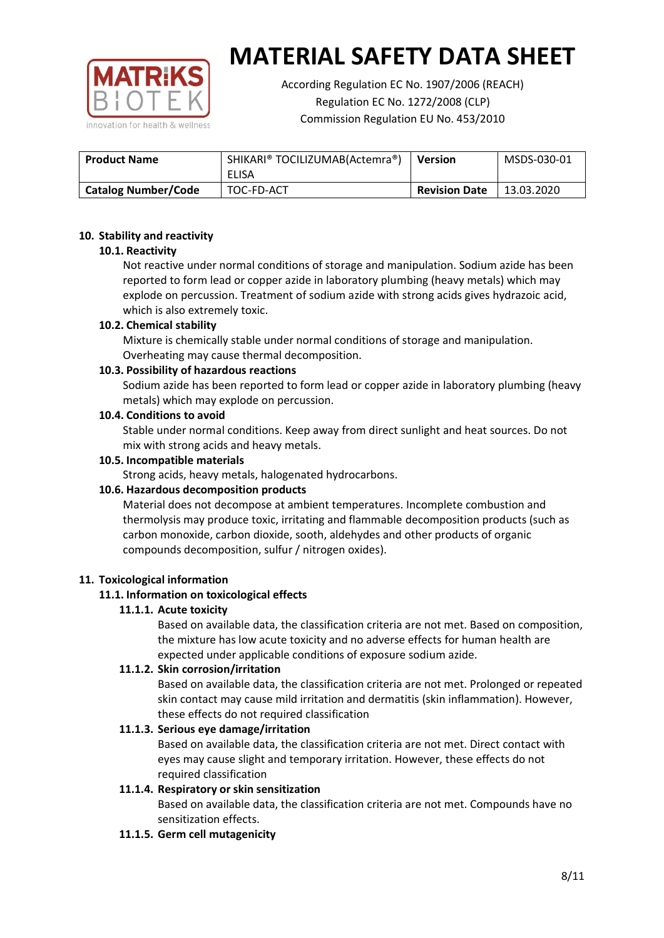

According Regulation EC No. 1907/2006 (REACH) Regulation EC No. 1272/2008 (CLP) Commission Regulation EU No. 453/2010

| SHIKARI® TOCILIZUMAB(Actemra®)<br><b>Product Name</b> |            | <b>Version</b>       | MSDS-030-01 |
|-------------------------------------------------------|------------|----------------------|-------------|
|                                                       | ELISA      |                      |             |
| <b>Catalog Number/Code</b>                            | TOC-FD-ACT | <b>Revision Date</b> | 13.03.2020  |

## **10. Stability and reactivity**

## **10.1. Reactivity**

Not reactive under normal conditions of storage and manipulation. Sodium azide has been reported to form lead or copper azide in laboratory plumbing (heavy metals) which may explode on percussion. Treatment of sodium azide with strong acids gives hydrazoic acid, which is also extremely toxic.

## **10.2. Chemical stability**

Mixture is chemically stable under normal conditions of storage and manipulation. Overheating may cause thermal decomposition.

## **10.3. Possibility of hazardous reactions**

Sodium azide has been reported to form lead or copper azide in laboratory plumbing (heavy metals) which may explode on percussion.

#### **10.4. Conditions to avoid**

Stable under normal conditions. Keep away from direct sunlight and heat sources. Do not mix with strong acids and heavy metals.

#### **10.5. Incompatible materials**

Strong acids, heavy metals, halogenated hydrocarbons.

# **10.6. Hazardous decomposition products**

Material does not decompose at ambient temperatures. Incomplete combustion and thermolysis may produce toxic, irritating and flammable decomposition products (such as carbon monoxide, carbon dioxide, sooth, aldehydes and other products of organic compounds decomposition, sulfur / nitrogen oxides).

#### **11. Toxicological information**

# **11.1. Information on toxicological effects**

#### **11.1.1. Acute toxicity**

Based on available data, the classification criteria are not met. Based on composition, the mixture has low acute toxicity and no adverse effects for human health are expected under applicable conditions of exposure sodium azide.

# **11.1.2. Skin corrosion/irritation**

Based on available data, the classification criteria are not met. Prolonged or repeated skin contact may cause mild irritation and dermatitis (skin inflammation). However, these effects do not required classification

# **11.1.3. Serious eye damage/irritation**

Based on available data, the classification criteria are not met. Direct contact with eyes may cause slight and temporary irritation. However, these effects do not required classification

# **11.1.4. Respiratory or skin sensitization**

Based on available data, the classification criteria are not met. Compounds have no sensitization effects.

#### **11.1.5. Germ cell mutagenicity**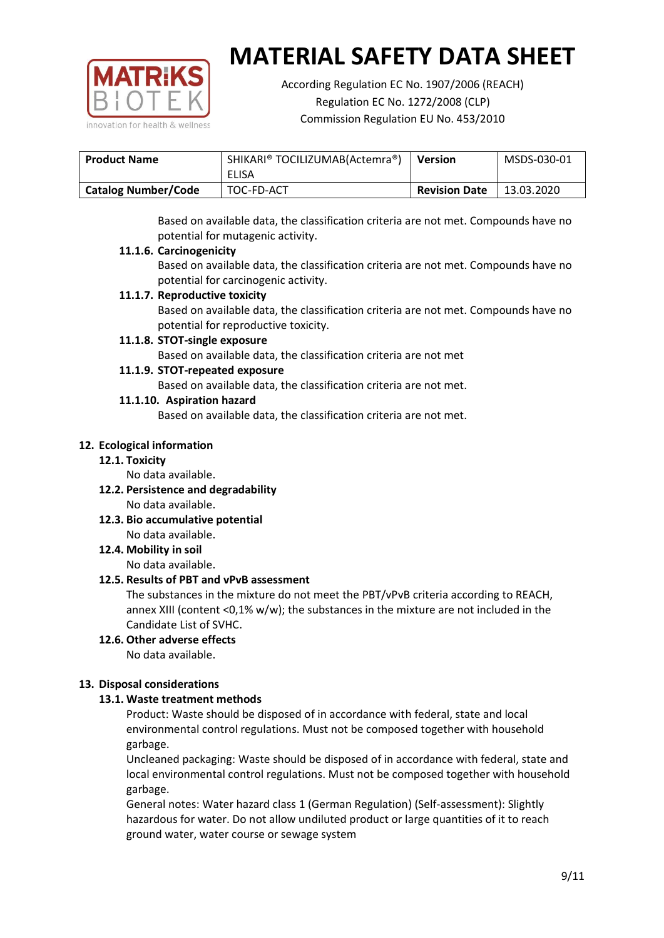

According Regulation EC No. 1907/2006 (REACH) Regulation EC No. 1272/2008 (CLP) Commission Regulation EU No. 453/2010

| <b>Product Name</b>        | SHIKARI® TOCILIZUMAB(Actemra®) |                      | MSDS-030-01 |
|----------------------------|--------------------------------|----------------------|-------------|
|                            | ELISA                          |                      |             |
| <b>Catalog Number/Code</b> | TOC-FD-ACT                     | <b>Revision Date</b> | 13.03.2020  |

Based on available data, the classification criteria are not met. Compounds have no potential for mutagenic activity.

## **11.1.6. Carcinogenicity**

Based on available data, the classification criteria are not met. Compounds have no potential for carcinogenic activity.

# **11.1.7. Reproductive toxicity**

Based on available data, the classification criteria are not met. Compounds have no potential for reproductive toxicity.

## **11.1.8. STOT-single exposure**

Based on available data, the classification criteria are not met

## **11.1.9. STOT-repeated exposure**

Based on available data, the classification criteria are not met.

## **11.1.10. Aspiration hazard**

Based on available data, the classification criteria are not met.

## **12. Ecological information**

#### **12.1. Toxicity**

No data available.

- **12.2. Persistence and degradability** No data available.
- **12.3. Bio accumulative potential** No data available.

**12.4. Mobility in soil**

No data available.

# **12.5. Results of PBT and vPvB assessment**

The substances in the mixture do not meet the PBT/vPvB criteria according to REACH, annex XIII (content <0,1% w/w); the substances in the mixture are not included in the Candidate List of SVHC.

#### **12.6. Other adverse effects** No data available.

# **13. Disposal considerations**

# **13.1. Waste treatment methods**

Product: Waste should be disposed of in accordance with federal, state and local environmental control regulations. Must not be composed together with household garbage.

Uncleaned packaging: Waste should be disposed of in accordance with federal, state and local environmental control regulations. Must not be composed together with household garbage.

General notes: Water hazard class 1 (German Regulation) (Self-assessment): Slightly hazardous for water. Do not allow undiluted product or large quantities of it to reach ground water, water course or sewage system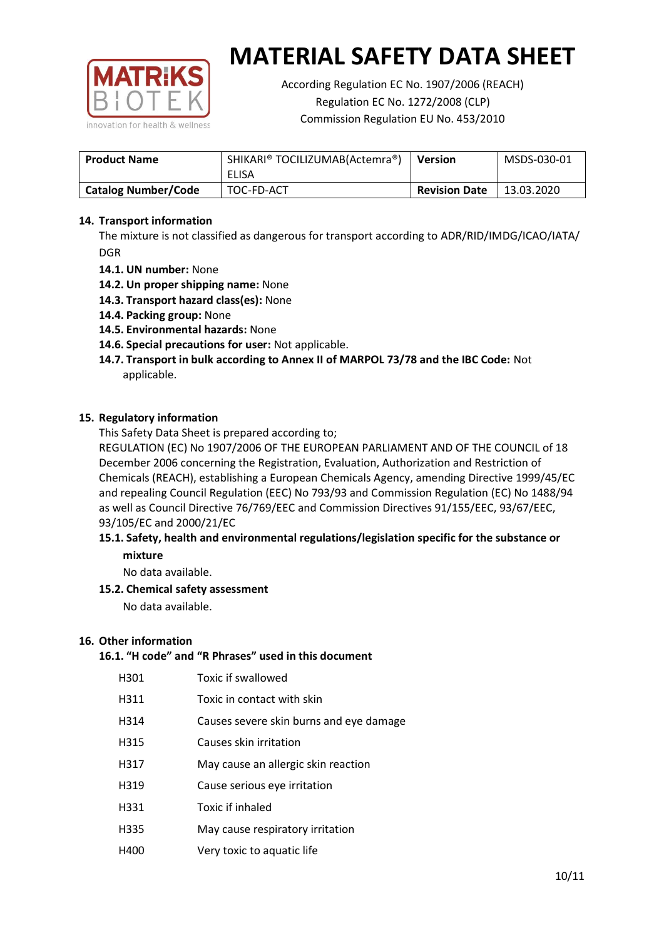

According Regulation EC No. 1907/2006 (REACH) Regulation EC No. 1272/2008 (CLP) Commission Regulation EU No. 453/2010

| <b>Product Name</b>        | SHIKARI® TOCILIZUMAB(Actemra®)<br>ELISA | <b>Version</b>       | MSDS-030-01 |
|----------------------------|-----------------------------------------|----------------------|-------------|
| <b>Catalog Number/Code</b> | TOC-FD-ACT                              | <b>Revision Date</b> | 13.03.2020  |

## **14. Transport information**

The mixture is not classified as dangerous for transport according to ADR/RID/IMDG/ICAO/IATA/ DGR

- **14.1. UN number:** None
- **14.2. Un proper shipping name:** None
- **14.3. Transport hazard class(es):** None
- **14.4. Packing group:** None
- **14.5. Environmental hazards:** None
- **14.6. Special precautions for user:** Not applicable.
- **14.7. Transport in bulk according to Annex II of MARPOL 73/78 and the IBC Code:** Not applicable.

#### **15. Regulatory information**

This Safety Data Sheet is prepared according to;

REGULATION (EC) No 1907/2006 OF THE EUROPEAN PARLIAMENT AND OF THE COUNCIL of 18 December 2006 concerning the Registration, Evaluation, Authorization and Restriction of Chemicals (REACH), establishing a European Chemicals Agency, amending Directive 1999/45/EC and repealing Council Regulation (EEC) No 793/93 and Commission Regulation (EC) No 1488/94 as well as Council Directive 76/769/EEC and Commission Directives 91/155/EEC, 93/67/EEC, 93/105/EC and 2000/21/EC

## **15.1. Safety, health and environmental regulations/legislation specific for the substance or mixture**

No data available.

# **15.2. Chemical safety assessment**

No data available.

#### **16. Other information**

## **16.1. "H code" and "R Phrases" used in this document**

| H301 | Toxic if swallowed |
|------|--------------------|
|      |                    |

- H311 Toxic in contact with skin
- H314 Causes severe skin burns and eye damage
- H315 Causes skin irritation
- H317 May cause an allergic skin reaction
- H319 Cause serious eye irritation
- H331 Toxic if inhaled
- H335 May cause respiratory irritation
- H400 Very toxic to aquatic life